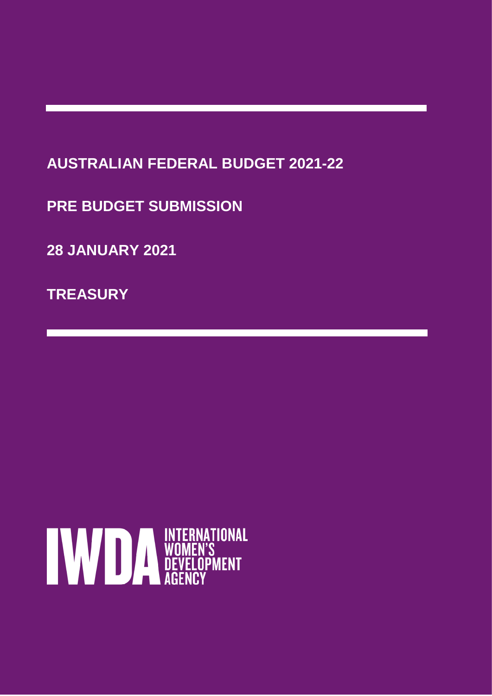# **AUSTRALIAN FEDERAL BUDGET 2021-22**

**PRE BUDGET SUBMISSION**

**28 JANUARY 2021**

**TREASURY**

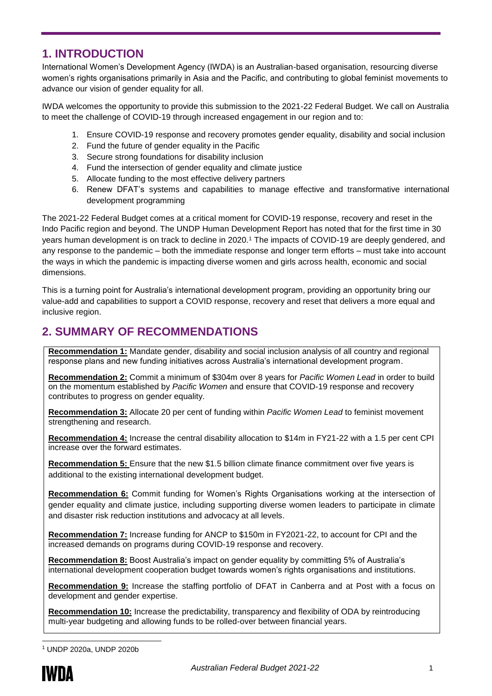# **1. INTRODUCTION**

International Women's Development Agency (IWDA) is an Australian-based organisation, resourcing diverse women's rights organisations primarily in Asia and the Pacific, and contributing to global feminist movements to advance our vision of gender equality for all.

IWDA welcomes the opportunity to provide this submission to the 2021-22 Federal Budget. We call on Australia to meet the challenge of COVID-19 through increased engagement in our region and to:

- 1. Ensure COVID-19 response and recovery promotes gender equality, disability and social inclusion
- 2. Fund the future of gender equality in the Pacific
- 3. Secure strong foundations for disability inclusion
- 4. Fund the intersection of gender equality and climate justice
- 5. Allocate funding to the most effective delivery partners
- 6. Renew DFAT's systems and capabilities to manage effective and transformative international development programming

The 2021-22 Federal Budget comes at a critical moment for COVID-19 response, recovery and reset in the Indo Pacific region and beyond. The UNDP Human Development Report has noted that for the first time in 30 years human development is on track to decline in 2020.<sup>1</sup> The impacts of COVID-19 are deeply gendered, and any response to the pandemic – both the immediate response and longer term efforts – must take into account the ways in which the pandemic is impacting diverse women and girls across health, economic and social dimensions.

This is a turning point for Australia's international development program, providing an opportunity bring our value-add and capabilities to support a COVID response, recovery and reset that delivers a more equal and inclusive region.

# **2. SUMMARY OF RECOMMENDATIONS**

**Recommendation 1:** Mandate gender, disability and social inclusion analysis of all country and regional response plans and new funding initiatives across Australia's international development program.

**Recommendation 2:** Commit a minimum of \$304m over 8 years for *Pacific Women Lead* in order to build on the momentum established by *Pacific Women* and ensure that COVID-19 response and recovery contributes to progress on gender equality.

**Recommendation 3:** Allocate 20 per cent of funding within *Pacific Women Lead* to feminist movement strengthening and research.

**Recommendation 4:** Increase the central disability allocation to \$14m in FY21-22 with a 1.5 per cent CPI increase over the forward estimates.

**Recommendation 5:** Ensure that the new \$1.5 billion climate finance commitment over five years is additional to the existing international development budget.

**Recommendation 6:** Commit funding for Women's Rights Organisations working at the intersection of gender equality and climate justice, including supporting diverse women leaders to participate in climate and disaster risk reduction institutions and advocacy at all levels.

**Recommendation 7:** Increase funding for ANCP to \$150m in FY2021-22, to account for CPI and the increased demands on programs during COVID-19 response and recovery.

**Recommendation 8:** Boost Australia's impact on gender equality by committing 5% of Australia's international development cooperation budget towards women's rights organisations and institutions.

**Recommendation 9:** Increase the staffing portfolio of DFAT in Canberra and at Post with a focus on development and gender expertise.

**Recommendation 10:** Increase the predictability, transparency and flexibility of ODA by reintroducing multi-year budgeting and allowing funds to be rolled-over between financial years.

<sup>-</sup><sup>1</sup> UNDP 2020a, UNDP 2020b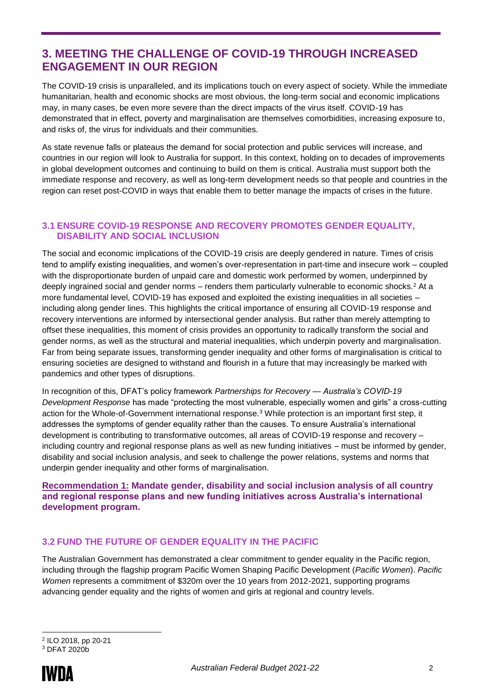# **3. MEETING THE CHALLENGE OF COVID-19 THROUGH INCREASED ENGAGEMENT IN OUR REGION**

The COVID-19 crisis is unparalleled, and its implications touch on every aspect of society. While the immediate humanitarian, health and economic shocks are most obvious, the long-term social and economic implications may, in many cases, be even more severe than the direct impacts of the virus itself. COVID-19 has demonstrated that in effect, poverty and marginalisation are themselves comorbidities, increasing exposure to, and risks of, the virus for individuals and their communities.

As state revenue falls or plateaus the demand for social protection and public services will increase, and countries in our region will look to Australia for support. In this context, holding on to decades of improvements in global development outcomes and continuing to build on them is critical. Australia must support both the immediate response and recovery, as well as long-term development needs so that people and countries in the region can reset post-COVID in ways that enable them to better manage the impacts of crises in the future.

#### **3.1 ENSURE COVID-19 RESPONSE AND RECOVERY PROMOTES GENDER EQUALITY, DISABILITY AND SOCIAL INCLUSION**

The social and economic implications of the COVID-19 crisis are deeply gendered in nature. Times of crisis tend to amplify existing inequalities, and women's over-representation in part-time and insecure work – coupled with the disproportionate burden of unpaid care and domestic work performed by women, underpinned by deeply ingrained social and gender norms – renders them particularly vulnerable to economic shocks.<sup>2</sup> At a more fundamental level, COVID-19 has exposed and exploited the existing inequalities in all societies – including along gender lines. This highlights the critical importance of ensuring all COVID-19 response and recovery interventions are informed by intersectional gender analysis. But rather than merely attempting to offset these inequalities, this moment of crisis provides an opportunity to radically transform the social and gender norms, as well as the structural and material inequalities, which underpin poverty and marginalisation. Far from being separate issues, transforming gender inequality and other forms of marginalisation is critical to ensuring societies are designed to withstand and flourish in a future that may increasingly be marked with pandemics and other types of disruptions.

In recognition of this, DFAT's policy framework *Partnerships for Recovery — Australia's COVID-19 Development Response* has made "protecting the most vulnerable, especially women and girls" a cross-cutting action for the Whole-of-Government international response.<sup>3</sup> While protection is an important first step, it addresses the symptoms of gender equality rather than the causes. To ensure Australia's international development is contributing to transformative outcomes, all areas of COVID-19 response and recovery – including country and regional response plans as well as new funding initiatives – must be informed by gender, disability and social inclusion analysis, and seek to challenge the power relations, systems and norms that underpin gender inequality and other forms of marginalisation.

**Recommendation 1: Mandate gender, disability and social inclusion analysis of all country and regional response plans and new funding initiatives across Australia's international development program.**

## **3.2 FUND THE FUTURE OF GENDER EQUALITY IN THE PACIFIC**

The Australian Government has demonstrated a clear commitment to gender equality in the Pacific region, including through the flagship program Pacific Women Shaping Pacific Development (*Pacific Women*). *Pacific Women* represents a commitment of \$320m over the 10 years from 2012-2021, supporting programs advancing gender equality and the rights of women and girls at regional and country levels.

<sup>-</sup>2 ILO 2018, pp 20-21 <sup>3</sup> DFAT 2020b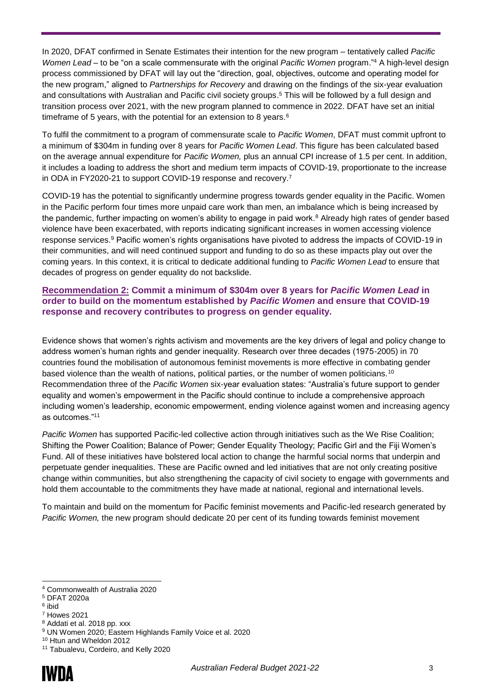In 2020, DFAT confirmed in Senate Estimates their intention for the new program – tentatively called *Pacific Women Lead –* to be "on a scale commensurate with the original *Pacific Women* program." <sup>4</sup> A high-level design process commissioned by DFAT will lay out the "direction, goal, objectives, outcome and operating model for the new program," aligned to *Partnerships for Recovery* and drawing on the findings of the six-year evaluation and consultations with Australian and Pacific civil society groups.<sup>5</sup> This will be followed by a full design and transition process over 2021, with the new program planned to commence in 2022. DFAT have set an initial timeframe of 5 years, with the potential for an extension to 8 years.<sup>6</sup>

To fulfil the commitment to a program of commensurate scale to *Pacific Women*, DFAT must commit upfront to a minimum of \$304m in funding over 8 years for *Pacific Women Lead*. This figure has been calculated based on the average annual expenditure for *Pacific Women,* plus an annual CPI increase of 1.5 per cent. In addition, it includes a loading to address the short and medium term impacts of COVID-19, proportionate to the increase in ODA in FY2020-21 to support COVID-19 response and recovery. 7

COVID-19 has the potential to significantly undermine progress towards gender equality in the Pacific. Women in the Pacific perform four times more unpaid care work than men, an imbalance which is being increased by the pandemic, further impacting on women's ability to engage in paid work.<sup>8</sup> Already high rates of gender based violence have been exacerbated, with reports indicating significant increases in women accessing violence response services.<sup>9</sup> Pacific women's rights organisations have pivoted to address the impacts of COVID-19 in their communities, and will need continued support and funding to do so as these impacts play out over the coming years. In this context, it is critical to dedicate additional funding to *Pacific Women Lead* to ensure that decades of progress on gender equality do not backslide.

#### **Recommendation 2: Commit a minimum of \$304m over 8 years for** *Pacific Women Lead* **in order to build on the momentum established by** *Pacific Women* **and ensure that COVID-19 response and recovery contributes to progress on gender equality.**

Evidence shows that women's rights activism and movements are the key drivers of legal and policy change to address women's human rights and gender inequality. Research over three decades (1975-2005) in 70 countries found the mobilisation of autonomous feminist movements is more effective in combating gender based violence than the wealth of nations, political parties, or the number of women politicians.<sup>10</sup> Recommendation three of the *Pacific Women* six-year evaluation states: "Australia's future support to gender equality and women's empowerment in the Pacific should continue to include a comprehensive approach including women's leadership, economic empowerment, ending violence against women and increasing agency as outcomes."<sup>11</sup>

*Pacific Women* has supported Pacific-led collective action through initiatives such as the We Rise Coalition; Shifting the Power Coalition; Balance of Power; Gender Equality Theology; Pacific Girl and the Fiji Women's Fund. All of these initiatives have bolstered local action to change the harmful social norms that underpin and perpetuate gender inequalities. These are Pacific owned and led initiatives that are not only creating positive change within communities, but also strengthening the capacity of civil society to engage with governments and hold them accountable to the commitments they have made at national, regional and international levels.

To maintain and build on the momentum for Pacific feminist movements and Pacific-led research generated by *Pacific Women,* the new program should dedicate 20 per cent of its funding towards feminist movement

- <sup>7</sup> Howes 2021
- <sup>8</sup> Addati et al. 2018 pp. xxx

<sup>-</sup><sup>4</sup> Commonwealth of Australia 2020

<sup>5</sup> DFAT 2020a

<sup>6</sup> ibid

<sup>9</sup> UN Women 2020; Eastern Highlands Family Voice et al. 2020

<sup>10</sup> Htun and Wheldon 2012

<sup>11</sup> Tabualevu, Cordeiro, and Kelly 2020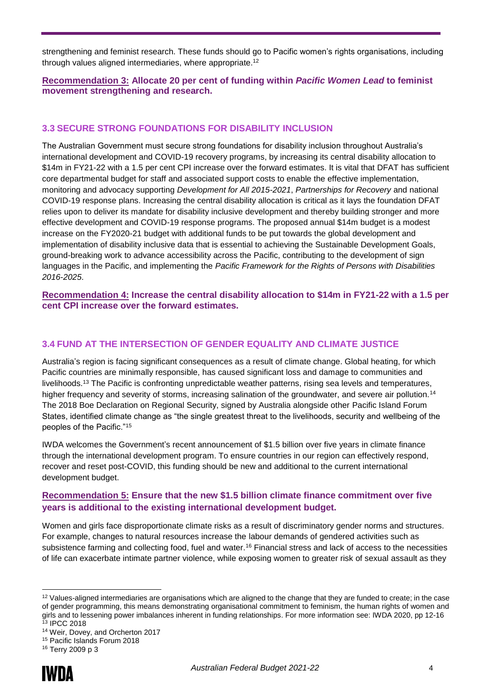strengthening and feminist research. These funds should go to Pacific women's rights organisations, including through values aligned intermediaries, where appropriate.<sup>12</sup>

#### **Recommendation 3: Allocate 20 per cent of funding within** *Pacific Women Lead* **to feminist movement strengthening and research.**

## **3.3 SECURE STRONG FOUNDATIONS FOR DISABILITY INCLUSION**

The Australian Government must secure strong foundations for disability inclusion throughout Australia's international development and COVID-19 recovery programs, by increasing its central disability allocation to \$14m in FY21-22 with a 1.5 per cent CPI increase over the forward estimates. It is vital that DFAT has sufficient core departmental budget for staff and associated support costs to enable the effective implementation, monitoring and advocacy supporting *Development for All 2015-2021*, *Partnerships for Recovery* and national COVID-19 response plans. Increasing the central disability allocation is critical as it lays the foundation DFAT relies upon to deliver its mandate for disability inclusive development and thereby building stronger and more effective development and COVID-19 response programs. The proposed annual \$14m budget is a modest increase on the FY2020-21 budget with additional funds to be put towards the global development and implementation of disability inclusive data that is essential to achieving the Sustainable Development Goals, ground-breaking work to advance accessibility across the Pacific, contributing to the development of sign languages in the Pacific, and implementing the *Pacific Framework for the Rights of Persons with Disabilities 2016-2025*.

**Recommendation 4: Increase the central disability allocation to \$14m in FY21-22 with a 1.5 per cent CPI increase over the forward estimates.**

## **3.4 FUND AT THE INTERSECTION OF GENDER EQUALITY AND CLIMATE JUSTICE**

Australia's region is facing significant consequences as a result of climate change. Global heating, for which Pacific countries are minimally responsible, has caused significant loss and damage to communities and livelihoods.<sup>13</sup> The Pacific is confronting unpredictable weather patterns, rising sea levels and temperatures, higher frequency and severity of storms, increasing salination of the groundwater, and severe air pollution.<sup>14</sup> The 2018 Boe Declaration on Regional Security, signed by Australia alongside other Pacific Island Forum States, identified climate change as "the single greatest threat to the livelihoods, security and wellbeing of the peoples of the Pacific."<sup>15</sup>

IWDA welcomes the Government's recent announcement of \$1.5 billion over five years in climate finance through the international development program. To ensure countries in our region can effectively respond, recover and reset post-COVID, this funding should be new and additional to the current international development budget.

## **Recommendation 5: Ensure that the new \$1.5 billion climate finance commitment over five years is additional to the existing international development budget.**

Women and girls face disproportionate climate risks as a result of discriminatory gender norms and structures. For example, changes to natural resources increase the labour demands of gendered activities such as subsistence farming and collecting food, fuel and water.<sup>16</sup> Financial stress and lack of access to the necessities of life can exacerbate intimate partner violence, while exposing women to greater risk of sexual assault as they

<sup>16</sup> Terry 2009 p 3



-

<sup>&</sup>lt;sup>12</sup> Values-aligned intermediaries are organisations which are aligned to the change that they are funded to create; in the case of gender programming, this means demonstrating organisational commitment to feminism, the human rights of women and girls and to lessening power imbalances inherent in funding relationships. For more information see: IWDA 2020, pp 12-16 <sup>13</sup> IPCC 2018

<sup>14</sup> Weir, Dovey, and Orcherton 2017

<sup>15</sup> Pacific Islands Forum 2018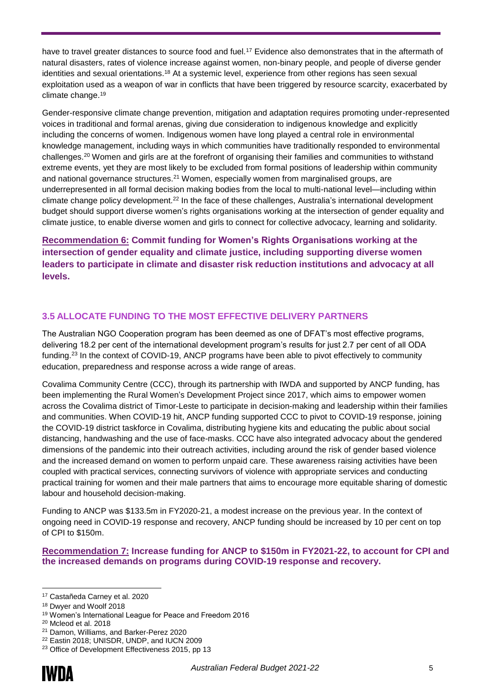have to travel greater distances to source food and fuel.<sup>17</sup> Evidence also demonstrates that in the aftermath of natural disasters, rates of violence increase against women, non-binary people, and people of diverse gender identities and sexual orientations.<sup>18</sup> At a systemic level, experience from other regions has seen sexual exploitation used as a weapon of war in conflicts that have been triggered by resource scarcity, exacerbated by climate change.<sup>19</sup>

Gender-responsive climate change prevention, mitigation and adaptation requires promoting under-represented voices in traditional and formal arenas, giving due consideration to indigenous knowledge and explicitly including the concerns of women. Indigenous women have long played a central role in environmental knowledge management, including ways in which communities have traditionally responded to environmental challenges.<sup>20</sup> Women and girls are at the forefront of organising their families and communities to withstand extreme events, yet they are most likely to be excluded from formal positions of leadership within community and national governance structures.<sup>21</sup> Women, especially women from marginalised groups, are underrepresented in all formal decision making bodies from the local to multi-national level—including within climate change policy development.<sup>22</sup> In the face of these challenges, Australia's international development budget should support diverse women's rights organisations working at the intersection of gender equality and climate justice, to enable diverse women and girls to connect for collective advocacy, learning and solidarity.

**Recommendation 6: Commit funding for Women's Rights Organisations working at the intersection of gender equality and climate justice, including supporting diverse women leaders to participate in climate and disaster risk reduction institutions and advocacy at all levels.** 

## **3.5 ALLOCATE FUNDING TO THE MOST EFFECTIVE DELIVERY PARTNERS**

The Australian NGO Cooperation program has been deemed as one of DFAT's most effective programs, delivering 18.2 per cent of the international development program's results for just 2.7 per cent of all ODA funding.<sup>23</sup> In the context of COVID-19, ANCP programs have been able to pivot effectively to community education, preparedness and response across a wide range of areas.

Covalima Community Centre (CCC), through its partnership with IWDA and supported by ANCP funding, has been implementing the Rural Women's Development Project since 2017, which aims to empower women across the Covalima district of Timor-Leste to participate in decision-making and leadership within their families and communities. When COVID-19 hit, ANCP funding supported CCC to pivot to COVID-19 response, joining the COVID-19 district taskforce in Covalima, distributing hygiene kits and educating the public about social distancing, handwashing and the use of face-masks. CCC have also integrated advocacy about the gendered dimensions of the pandemic into their outreach activities, including around the risk of gender based violence and the increased demand on women to perform unpaid care. These awareness raising activities have been coupled with practical services, connecting survivors of violence with appropriate services and conducting practical training for women and their male partners that aims to encourage more equitable sharing of domestic labour and household decision-making.

Funding to ANCP was \$133.5m in FY2020-21, a modest increase on the previous year. In the context of ongoing need in COVID-19 response and recovery, ANCP funding should be increased by 10 per cent on top of CPI to \$150m.

**Recommendation 7: Increase funding for ANCP to \$150m in FY2021-22, to account for CPI and the increased demands on programs during COVID-19 response and recovery.**

<sup>-</sup><sup>17</sup> Castañeda Carney et al. 2020

<sup>18</sup> Dwyer and Woolf 2018

<sup>19</sup> Women's International League for Peace and Freedom 2016

<sup>20</sup> Mcleod et al. 2018

<sup>21</sup> Damon, Williams, and Barker-Perez 2020

<sup>22</sup> Eastin 2018; UNISDR, UNDP, and IUCN 2009

<sup>&</sup>lt;sup>23</sup> Office of Development Effectiveness 2015, pp 13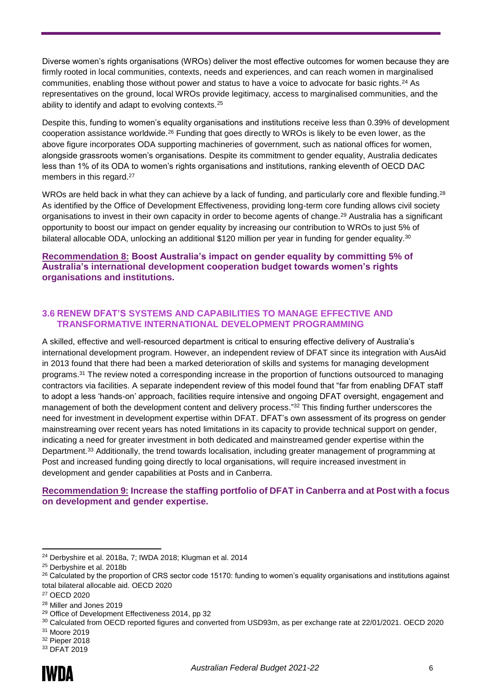Diverse women's rights organisations (WROs) deliver the most effective outcomes for women because they are firmly rooted in local communities, contexts, needs and experiences, and can reach women in marginalised communities, enabling those without power and status to have a voice to advocate for basic rights.<sup>24</sup> As representatives on the ground, local WROs provide legitimacy, access to marginalised communities, and the ability to identify and adapt to evolving contexts.<sup>25</sup>

Despite this, funding to women's equality organisations and institutions receive less than 0.39% of development cooperation assistance worldwide.<sup>26</sup> Funding that goes directly to WROs is likely to be even lower, as the above figure incorporates ODA supporting machineries of government, such as national offices for women, alongside grassroots women's organisations. Despite its commitment to gender equality, Australia dedicates less than 1% of its ODA to women's rights organisations and institutions, ranking eleventh of OECD DAC members in this regard.<sup>27</sup>

WROs are held back in what they can achieve by a lack of funding, and particularly core and flexible funding.<sup>28</sup> As identified by the Office of Development Effectiveness, providing long-term core funding allows civil society organisations to invest in their own capacity in order to become agents of change.<sup>29</sup> Australia has a significant opportunity to boost our impact on gender equality by increasing our contribution to WROs to just 5% of bilateral allocable ODA, unlocking an additional \$120 million per year in funding for gender equality.<sup>30</sup>

#### **Recommendation 8: Boost Australia's impact on gender equality by committing 5% of Australia's international development cooperation budget towards women's rights organisations and institutions.**

#### **3.6 RENEW DFAT'S SYSTEMS AND CAPABILITIES TO MANAGE EFFECTIVE AND TRANSFORMATIVE INTERNATIONAL DEVELOPMENT PROGRAMMING**

A skilled, effective and well-resourced department is critical to ensuring effective delivery of Australia's international development program. However, an independent review of DFAT since its integration with AusAid in 2013 found that there had been a marked deterioration of skills and systems for managing development programs.<sup>31</sup> The review noted a corresponding increase in the proportion of functions outsourced to managing contractors via facilities. A separate independent review of this model found that "far from enabling DFAT staff to adopt a less 'hands-on' approach, facilities require intensive and ongoing DFAT oversight, engagement and management of both the development content and delivery process." <sup>32</sup> This finding further underscores the need for investment in development expertise within DFAT. DFAT's own assessment of its progress on gender mainstreaming over recent years has noted limitations in its capacity to provide technical support on gender, indicating a need for greater investment in both dedicated and mainstreamed gender expertise within the Department.<sup>33</sup> Additionally, the trend towards localisation, including greater management of programming at Post and increased funding going directly to local organisations, will require increased investment in development and gender capabilities at Posts and in Canberra.

#### **Recommendation 9: Increase the staffing portfolio of DFAT in Canberra and at Post with a focus on development and gender expertise.**

-

<sup>24</sup> Derbyshire et al. 2018a, 7; IWDA 2018; Klugman et al. 2014

<sup>25</sup> Derbyshire et al. 2018b

<sup>&</sup>lt;sup>26</sup> Calculated by the proportion of CRS sector code 15170: funding to women's equality organisations and institutions against total bilateral allocable aid. OECD 2020

<sup>27</sup> OECD 2020

<sup>28</sup> Miller and Jones 2019

<sup>&</sup>lt;sup>29</sup> Office of Development Effectiveness 2014, pp 32

<sup>30</sup> Calculated from OECD reported figures and converted from USD93m, as per exchange rate at 22/01/2021. OECD 2020

<sup>31</sup> Moore 2019

<sup>32</sup> Pieper 2018

<sup>33</sup> DFAT 2019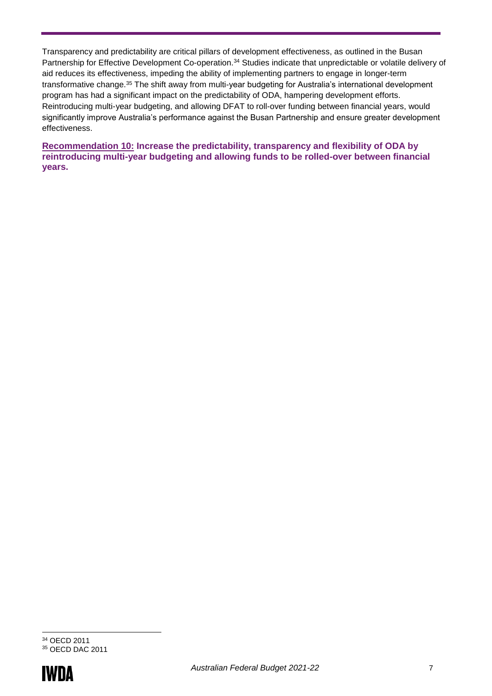Transparency and predictability are critical pillars of development effectiveness, as outlined in the Busan Partnership for Effective Development Co-operation.<sup>34</sup> Studies indicate that unpredictable or volatile delivery of aid reduces its effectiveness, impeding the ability of implementing partners to engage in longer-term transformative change.<sup>35</sup> The shift away from multi-year budgeting for Australia's international development program has had a significant impact on the predictability of ODA, hampering development efforts. Reintroducing multi-year budgeting, and allowing DFAT to roll-over funding between financial years, would significantly improve Australia's performance against the Busan Partnership and ensure greater development effectiveness.

**Recommendation 10: Increase the predictability, transparency and flexibility of ODA by reintroducing multi-year budgeting and allowing funds to be rolled-over between financial years.** 

<sup>-</sup><sup>34</sup> OECD 2011 <sup>35</sup> OECD DAC 2011

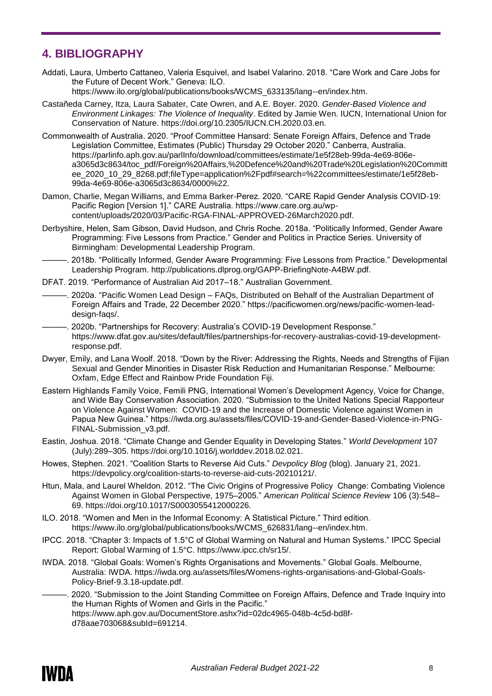# **4. BIBLIOGRAPHY**

Addati, Laura, Umberto Cattaneo, Valeria Esquivel, and Isabel Valarino. 2018. "Care Work and Care Jobs for the Future of Decent Work." Geneva: ILO.

https://www.ilo.org/global/publications/books/WCMS\_633135/lang--en/index.htm.

- Castañeda Carney, Itza, Laura Sabater, Cate Owren, and A.E. Boyer. 2020. *Gender-Based Violence and Environment Linkages: The Violence of Inequality*. Edited by Jamie Wen. IUCN, International Union for Conservation of Nature. https://doi.org/10.2305/IUCN.CH.2020.03.en.
- Commonwealth of Australia. 2020. "Proof Committee Hansard: Senate Foreign Affairs, Defence and Trade Legislation Committee, Estimates (Public) Thursday 29 October 2020." Canberra, Australia. https://parlinfo.aph.gov.au/parlInfo/download/committees/estimate/1e5f28eb-99da-4e69-806ea3065d3c8634/toc\_pdf/Foreign%20Affairs,%20Defence%20and%20Trade%20Legislation%20Committ ee\_2020\_10\_29\_8268.pdf;fileType=application%2Fpdf#search=%22committees/estimate/1e5f28eb-99da-4e69-806e-a3065d3c8634/0000%22.
- Damon, Charlie, Megan Williams, and Emma Barker-Perez. 2020. "CARE Rapid Gender Analysis COVID-19: Pacific Region [Version 1]." CARE Australia. https://www.care.org.au/wpcontent/uploads/2020/03/Pacific-RGA-FINAL-APPROVED-26March2020.pdf.
- Derbyshire, Helen, Sam Gibson, David Hudson, and Chris Roche. 2018a. "Politically Informed, Gender Aware Programming: Five Lessons from Practice." Gender and Politics in Practice Series. University of Birmingham: Developmental Leadership Program.
	- ———. 2018b. "Politically Informed, Gender Aware Programming: Five Lessons from Practice." Developmental Leadership Program. http://publications.dlprog.org/GAPP-BriefingNote-A4BW.pdf.
- DFAT. 2019. "Performance of Australian Aid 2017–18." Australian Government.
- ———. 2020a. "Pacific Women Lead Design FAQs, Distributed on Behalf of the Australian Department of Foreign Affairs and Trade, 22 December 2020." https://pacificwomen.org/news/pacific-women-leaddesign-faqs/.
- ———. 2020b. "Partnerships for Recovery: Australia's COVID-19 Development Response." https://www.dfat.gov.au/sites/default/files/partnerships-for-recovery-australias-covid-19-developmentresponse.pdf.
- Dwyer, Emily, and Lana Woolf. 2018. "Down by the River: Addressing the Rights, Needs and Strengths of Fijian Sexual and Gender Minorities in Disaster Risk Reduction and Humanitarian Response." Melbourne: Oxfam, Edge Effect and Rainbow Pride Foundation Fiji.
- Eastern Highlands Family Voice, Femili PNG, International Women's Development Agency, Voice for Change, and Wide Bay Conservation Association. 2020. "Submission to the United Nations Special Rapporteur on Violence Against Women: COVID-19 and the Increase of Domestic Violence against Women in Papua New Guinea." https://iwda.org.au/assets/files/COVID-19-and-Gender-Based-Violence-in-PNG-FINAL-Submission\_v3.pdf.
- Eastin, Joshua. 2018. "Climate Change and Gender Equality in Developing States." *World Development* 107 (July):289–305. https://doi.org/10.1016/j.worlddev.2018.02.021.
- Howes, Stephen. 2021. "Coalition Starts to Reverse Aid Cuts." *Devpolicy Blog* (blog). January 21, 2021. https://devpolicy.org/coalition-starts-to-reverse-aid-cuts-20210121/.
- Htun, Mala, and Laurel Wheldon. 2012. "The Civic Origins of Progressive Policy Change: Combating Violence Against Women in Global Perspective, 1975–2005." *American Political Science Review* 106 (3):548– 69. https://doi.org/10.1017/S0003055412000226.
- ILO. 2018. "Women and Men in the Informal Economy: A Statistical Picture." Third edition. https://www.ilo.org/global/publications/books/WCMS\_626831/lang--en/index.htm.
- IPCC. 2018. "Chapter 3: Impacts of 1.5°C of Global Warming on Natural and Human Systems." IPCC Special Report: Global Warming of 1.5°C. https://www.ipcc.ch/sr15/.
- IWDA. 2018. "Global Goals: Women's Rights Organisations and Movements." Global Goals. Melbourne, Australia: IWDA. https://iwda.org.au/assets/files/Womens-rights-organisations-and-Global-Goals-Policy-Brief-9.3.18-update.pdf.
- ———. 2020. "Submission to the Joint Standing Committee on Foreign Affairs, Defence and Trade Inquiry into the Human Rights of Women and Girls in the Pacific." https://www.aph.gov.au/DocumentStore.ashx?id=02dc4965-048b-4c5d-bd8fd78aae703068&subId=691214.

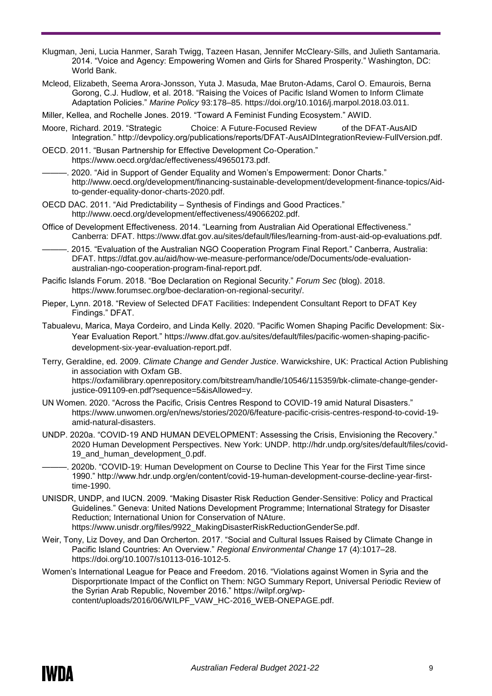- Klugman, Jeni, Lucia Hanmer, Sarah Twigg, Tazeen Hasan, Jennifer McCleary-Sills, and Julieth Santamaria. 2014. "Voice and Agency: Empowering Women and Girls for Shared Prosperity." Washington, DC: World Bank.
- Mcleod, Elizabeth, Seema Arora-Jonsson, Yuta J. Masuda, Mae Bruton-Adams, Carol O. Emaurois, Berna Gorong, C.J. Hudlow, et al. 2018. "Raising the Voices of Pacific Island Women to Inform Climate Adaptation Policies." *Marine Policy* 93:178–85. https://doi.org/10.1016/j.marpol.2018.03.011.
- Miller, Kellea, and Rochelle Jones. 2019. "Toward A Feminist Funding Ecosystem." AWID.
- Moore, Richard. 2019. "Strategic Choice: A Future-Focused Review of the DFAT-AusAID Integration." http://devpolicy.org/publications/reports/DFAT-AusAIDIntegrationReview-FullVersion.pdf.
- OECD. 2011. "Busan Partnership for Effective Development Co-Operation." https://www.oecd.org/dac/effectiveness/49650173.pdf.
- 2020. "Aid in Support of Gender Equality and Women's Empowerment: Donor Charts." http://www.oecd.org/development/financing-sustainable-development/development-finance-topics/Aidto-gender-equality-donor-charts-2020.pdf.
- OECD DAC. 2011. "Aid Predictability Synthesis of Findings and Good Practices." http://www.oecd.org/development/effectiveness/49066202.pdf.
- Office of Development Effectiveness. 2014. "Learning from Australian Aid Operational Effectiveness." Canberra: DFAT. https://www.dfat.gov.au/sites/default/files/learning-from-aust-aid-op-evaluations.pdf.
- ———. 2015. "Evaluation of the Australian NGO Cooperation Program Final Report." Canberra, Australia: DFAT. https://dfat.gov.au/aid/how-we-measure-performance/ode/Documents/ode-evaluationaustralian-ngo-cooperation-program-final-report.pdf.
- Pacific Islands Forum. 2018. "Boe Declaration on Regional Security." *Forum Sec* (blog). 2018. https://www.forumsec.org/boe-declaration-on-regional-security/.
- Pieper, Lynn. 2018. "Review of Selected DFAT Facilities: Independent Consultant Report to DFAT Key Findings." DFAT.
- Tabualevu, Marica, Maya Cordeiro, and Linda Kelly. 2020. "Pacific Women Shaping Pacific Development: Six-Year Evaluation Report." https://www.dfat.gov.au/sites/default/files/pacific-women-shaping-pacificdevelopment-six-year-evaluation-report.pdf.
- Terry, Geraldine, ed. 2009. *Climate Change and Gender Justice*. Warwickshire, UK: Practical Action Publishing in association with Oxfam GB. https://oxfamilibrary.openrepository.com/bitstream/handle/10546/115359/bk-climate-change-genderjustice-091109-en.pdf?sequence=5&isAllowed=y.
- UN Women. 2020. "Across the Pacific, Crisis Centres Respond to COVID-19 amid Natural Disasters." https://www.unwomen.org/en/news/stories/2020/6/feature-pacific-crisis-centres-respond-to-covid-19 amid-natural-disasters.
- UNDP. 2020a. "COVID-19 AND HUMAN DEVELOPMENT: Assessing the Crisis, Envisioning the Recovery." 2020 Human Development Perspectives. New York: UNDP. http://hdr.undp.org/sites/default/files/covid-19 and human development 0.pdf.
- ———. 2020b. "COVID-19: Human Development on Course to Decline This Year for the First Time since 1990." http://www.hdr.undp.org/en/content/covid-19-human-development-course-decline-year-firsttime-1990.
- UNISDR, UNDP, and IUCN. 2009. "Making Disaster Risk Reduction Gender-Sensitive: Policy and Practical Guidelines." Geneva: United Nations Development Programme; International Strategy for Disaster Reduction; International Union for Conservation of NAture. https://www.unisdr.org/files/9922\_MakingDisasterRiskReductionGenderSe.pdf.
- Weir, Tony, Liz Dovey, and Dan Orcherton. 2017. "Social and Cultural Issues Raised by Climate Change in Pacific Island Countries: An Overview." *Regional Environmental Change* 17 (4):1017–28. https://doi.org/10.1007/s10113-016-1012-5.
- Women's International League for Peace and Freedom. 2016. "Violations against Women in Syria and the Disporprtionate Impact of the Conflict on Them: NGO Summary Report, Universal Periodic Review of the Syrian Arab Republic, November 2016." https://wilpf.org/wpcontent/uploads/2016/06/WILPF\_VAW\_HC-2016\_WEB-ONEPAGE.pdf.